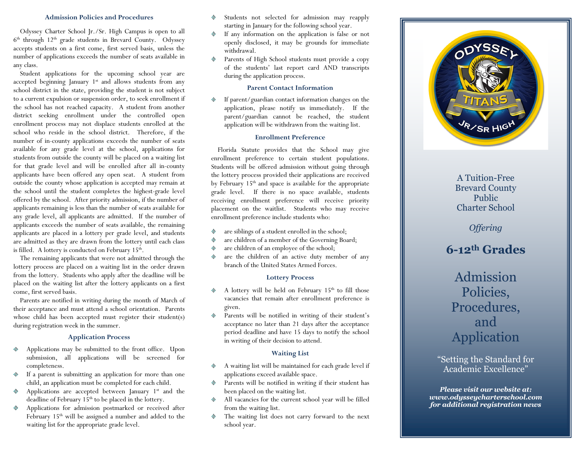#### **Admission Policies and Procedures**

Odyssey Charter School Jr./Sr. High Campus is open to all  $6<sup>th</sup>$  through  $12<sup>th</sup>$  grade students in Brevard County. Odyssey accepts students on a first come, first served basis, unless the number of applications exceeds the number of seats available in any class.

Student applications for the upcoming school year are accepted beginning January  $1<sup>st</sup>$  and allows students from any school district in the state, providing the student is not subject to a current expulsion or suspension order, to seek enrollment if the school has not reached capacity. A student from another district seeking enrollment under the controlled open enrollment process may not displace students enrolled at the school who reside in the school district. Therefore, if the number of in-county applications exceeds the number of seats available for any grade level at the school, applications for students from outside the county will be placed on a waiting list for that grade level and will be enrolled after all in-county applicants have been offered any open seat. A student from outside the county whose application is accepted may remain at the school until the student completes the highest-grade level offered by the school. After priority admission, if the number of applicants remaining is less than the number of seats available for any grade level, all applicants are admitted. If the number of applicants exceeds the number of seats available, the remaining applicants are placed in a lottery per grade level, and students are admitted as they are drawn from the lottery until each class is filled. A lottery is conducted on February  $15<sup>th</sup>$ .

The remaining applicants that were not admitted through the lottery process are placed on a waiting list in the order drawn from the lottery. Students who apply after the deadline will be placed on the waiting list after the lottery applicants on a first come, first served basis.

Parents are notified in writing during the month of March of their acceptance and must attend a school orientation. Parents whose child has been accepted must register their student(s) during registration week in the summer.

### **Application Process**

- Applications may be submitted to the front office. Upon submission, all applications will be screened for completeness.
- If a parent is submitting an application for more than one ◈ child, an application must be completed for each child.
- Applications are accepted between January  $1<sup>st</sup>$  and the deadline of February 15<sup>th</sup> to be placed in the lottery.
- Applications for admission postmarked or received after February 15<sup>th</sup> will be assigned a number and added to the waiting list for the appropriate grade level.
- Students not selected for admission may reapply starting in January for the following school year.
- If any information on the application is false or not openly disclosed, it may be grounds for immediate withdrawal.
- Parents of High School students must provide a copy of the students' last report card AND transcripts during the application process.

#### **Parent Contact Information**

If parent/guardian contact information changes on the application, please notify us immediately. If the parent/guardian cannot be reached, the student application will be withdrawn from the waiting list.

#### **Enrollment Preference**

Florida Statute provides that the School may give enrollment preference to certain student populations. Students will be offered admission without going through the lottery process provided their applications are received by February 15<sup>th</sup> and space is available for the appropriate grade level. If there is no space available, students receiving enrollment preference will receive priority placement on the waitlist. Students who may receive enrollment preference include students who:

- are siblings of a student enrolled in the school; ◈
- are children of a member of the Governing Board;
- are children of an employee of the school;
- are the children of an active duty member of any ◈ branch of the United States Armed Forces.

#### **Lottery Process**

- A lottery will be held on February  $15<sup>th</sup>$  to fill those vacancies that remain after enrollment preference is given.
- Parents will be notified in writing of their student's acceptance no later than 21 days after the acceptance period deadline and have 15 days to notify the school in writing of their decision to attend.

## **Waiting List**

- A waiting list will be maintained for each grade level if applications exceed available space.
- Parents will be notified in writing if their student has been placed on the waiting list.
- All vacancies for the current school year will be filled from the waiting list.
- ◈ The waiting list does not carry forward to the next school year.



# A Tuition-Free Brevard County Public Charter School

*Offering*

# **6-12th Grades**

Admission Policies, Procedures, and Application

"Setting the Standard for Academic Excellence"

*Please visit our website at: www.odysseycharterschool.com for additional registration news*